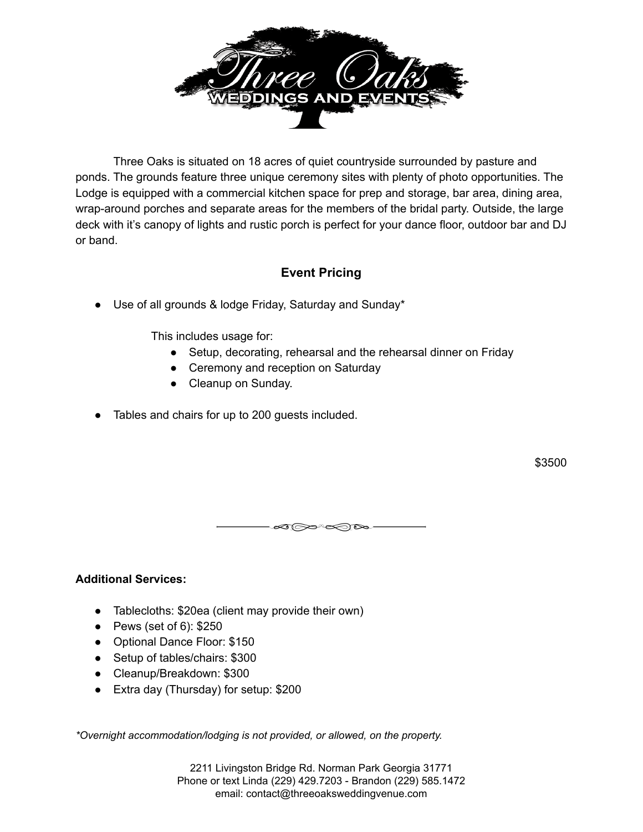

Three Oaks is situated on 18 acres of quiet countryside surrounded by pasture and ponds. The grounds feature three unique ceremony sites with plenty of photo opportunities. The Lodge is equipped with a commercial kitchen space for prep and storage, bar area, dining area, wrap-around porches and separate areas for the members of the bridal party. Outside, the large deck with it's canopy of lights and rustic porch is perfect for your dance floor, outdoor bar and DJ or band.

# **Event Pricing**

● Use of all grounds & lodge Friday, Saturday and Sunday\*

This includes usage for:

- Setup, decorating, rehearsal and the rehearsal dinner on Friday
- Ceremony and reception on Saturday
- Cleanup on Sunday.
- Tables and chairs for up to 200 guests included.

\$3500

∞∞∞≈∞

### **Additional Services:**

- Tablecloths: \$20ea (client may provide their own)
- $\bullet$  Pews (set of 6): \$250
- Optional Dance Floor: \$150
- Setup of tables/chairs: \$300
- Cleanup/Breakdown: \$300
- Extra day (Thursday) for setup: \$200

*\*Overnight accommodation/lodging is not provided, or allowed, on the property.*

2211 Livingston Bridge Rd. Norman Park Georgia 31771 Phone or text Linda (229) 429.7203 - Brandon (229) 585.1472 email: contact@threeoaksweddingvenue.com